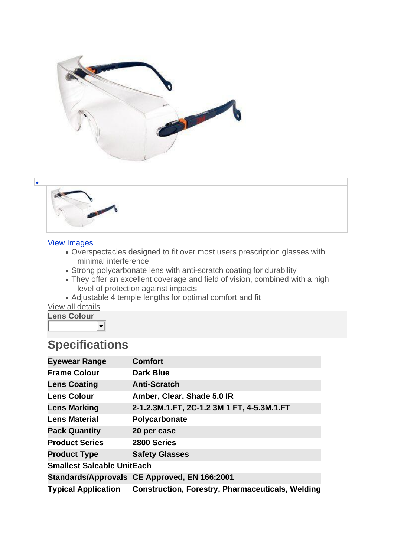





## View [Images](https://www.3m.co.uk/3M/en_GB/company-uk/3m-products/~/3M-Overspectacles-2800-Series/?N=5002385+8709322+8711405+8720748+3291215302&preselect=8720539+8720549+3293786499&rt=rud)

- Overspectacles designed to fit over most users prescription glasses with minimal interference
- Strong polycarbonate lens with anti-scratch coating for durability
- They offer an excellent coverage and field of vision, combined with a high level of protection against impacts
- Adjustable 4 temple lengths for optimal comfort and fit

**View all details** 



## **Specifications**

| <b>Eyewear Range</b>              | <b>Comfort</b>                                          |
|-----------------------------------|---------------------------------------------------------|
| <b>Frame Colour</b>               | Dark Blue                                               |
| <b>Lens Coating</b>               | <b>Anti-Scratch</b>                                     |
| <b>Lens Colour</b>                | Amber, Clear, Shade 5.0 IR                              |
| <b>Lens Marking</b>               | 2-1.2.3M.1.FT, 2C-1.2 3M 1 FT, 4-5.3M.1.FT              |
| <b>Lens Material</b>              | <b>Polycarbonate</b>                                    |
| <b>Pack Quantity</b>              | 20 per case                                             |
| <b>Product Series</b>             | 2800 Series                                             |
| <b>Product Type</b>               | <b>Safety Glasses</b>                                   |
| <b>Smallest Saleable UnitEach</b> |                                                         |
|                                   | Standards/Approvals CE Approved, EN 166:2001            |
| <b>Typical Application</b>        | <b>Construction, Forestry, Pharmaceuticals, Welding</b> |